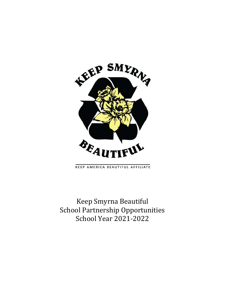

KEEP AMERICA BEAUTIFUL AFFILIATE

Keep Smyrna Beautiful School Partnership Opportunities School Year 2021-2022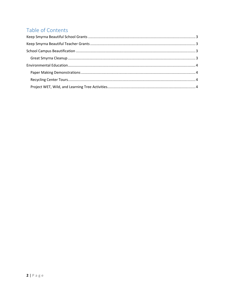# Table of Contents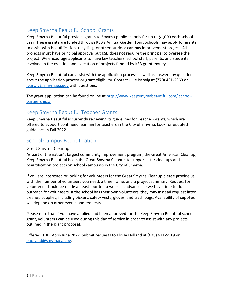### Keep Smyrna Beautiful School Grants

Keep Smyrna Beautiful provides grants to Smyrna public schools for up to \$1,000 each school year. These grants are funded through KSB's Annual Garden Tour. Schools may apply for grants to assist with beautification, recycling, or other outdoor campus improvement project. All projects must have principal approval but KSB does not require the principal to oversee the project. We encourage applicants to have key teachers, school staff, parents, and students involved in the creation and execution of projects funded by KSB grant money.

Keep Smyrna Beautiful can assist with the application process as well as answer any questions about the application process or grant eligibility. Contact Julie Barwig at (770) 431-2863 or jbarwig@smyrnaga.gov with questions.

The grant application can be found online at http://www.keepsmyrnabeautiful.com/ schoolpartnerships/

### Keep Smyrna Beautiful Teacher Grants

Keep Smyrna Beautiful is currently reviewing its guidelines for Teacher Grants, which are offered to support continued learning for teachers in the City of Smyrna. Look for updated guidelines in Fall 2022.

### School Campus Beautification

#### Great Smyrna Cleanup

As part of the nation's largest community improvement program, the Great American Cleanup, Keep Smyrna Beautiful hosts the Great Smyrna Cleanup to support litter cleanups and beautification projects on school campuses in the City of Smyrna.

If you are interested or looking for volunteers for the Great Smyrna Cleanup please provide us with the number of volunteers you need, a time frame, and a project summary. Request for volunteers should be made at least four to six weeks in advance, so we have time to do outreach for volunteers. If the school has their own volunteers, they may instead request litter cleanup supplies, including pickers, safety vests, gloves, and trash bags. Availability of supplies will depend on other events and requests.

Please note that if you have applied and been approved for the Keep Smyrna Beautiful school grant, volunteers can be used during this day of service in order to assist with any projects outlined in the grant proposal.

Offered: TBD, April-June 2022. Submit requests to Eloise Holland at (678) 631-5519 or eholland@smyrnaga.gov.